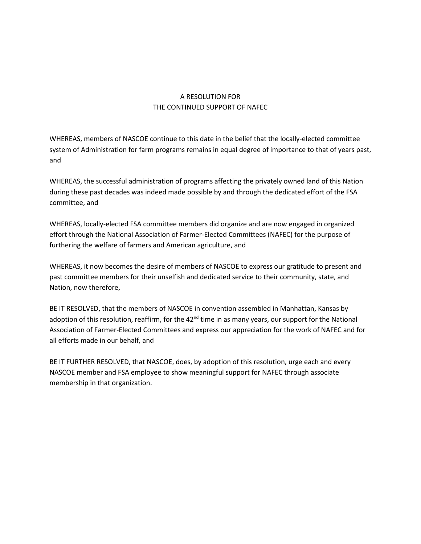## A RESOLUTION FOR THE CONTINUED SUPPORT OF NAFEC

WHEREAS, members of NASCOE continue to this date in the belief that the locally-elected committee system of Administration for farm programs remains in equal degree of importance to that of years past, and

WHEREAS, the successful administration of programs affecting the privately owned land of this Nation during these past decades was indeed made possible by and through the dedicated effort of the FSA committee, and

WHEREAS, locally-elected FSA committee members did organize and are now engaged in organized effort through the National Association of Farmer-Elected Committees (NAFEC) for the purpose of furthering the welfare of farmers and American agriculture, and

WHEREAS, it now becomes the desire of members of NASCOE to express our gratitude to present and past committee members for their unselfish and dedicated service to their community, state, and Nation, now therefore,

BE IT RESOLVED, that the members of NASCOE in convention assembled in Manhattan, Kansas by adoption of this resolution, reaffirm, for the 42<sup>nd</sup> time in as many years, our support for the National Association of Farmer-Elected Committees and express our appreciation for the work of NAFEC and for all efforts made in our behalf, and

BE IT FURTHER RESOLVED, that NASCOE, does, by adoption of this resolution, urge each and every NASCOE member and FSA employee to show meaningful support for NAFEC through associate membership in that organization.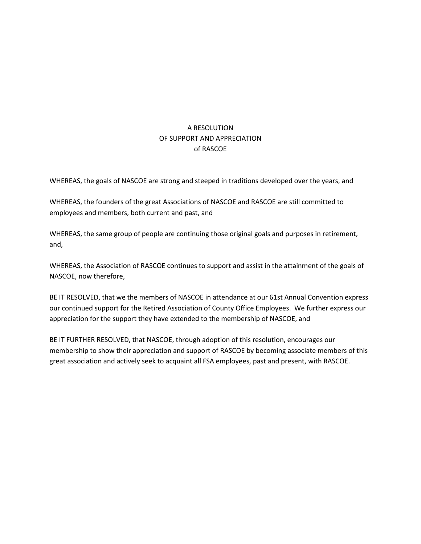## A RESOLUTION OF SUPPORT AND APPRECIATION of RASCOE

WHEREAS, the goals of NASCOE are strong and steeped in traditions developed over the years, and

WHEREAS, the founders of the great Associations of NASCOE and RASCOE are still committed to employees and members, both current and past, and

WHEREAS, the same group of people are continuing those original goals and purposes in retirement, and,

WHEREAS, the Association of RASCOE continues to support and assist in the attainment of the goals of NASCOE, now therefore,

BE IT RESOLVED, that we the members of NASCOE in attendance at our 61st Annual Convention express our continued support for the Retired Association of County Office Employees. We further express our appreciation for the support they have extended to the membership of NASCOE, and

BE IT FURTHER RESOLVED, that NASCOE, through adoption of this resolution, encourages our membership to show their appreciation and support of RASCOE by becoming associate members of this great association and actively seek to acquaint all FSA employees, past and present, with RASCOE.